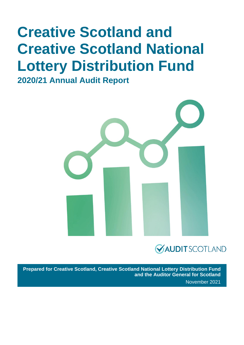# **Creative Scotland and Creative Scotland National Lottery Distribution Fund**

**2020/21 Annual Audit Report** 



## **VAUDITSCOTLAND**

**Prepared for Creative Scotland, Creative Scotland National Lottery Distribution Fund and the Auditor General for Scotland** November 2021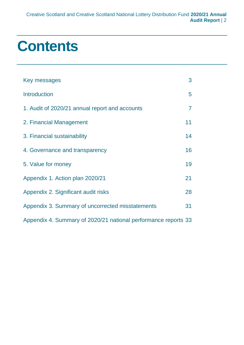# **Contents**

| Key messages                                                   | 3              |
|----------------------------------------------------------------|----------------|
| <b>Introduction</b>                                            | 5              |
| 1. Audit of 2020/21 annual report and accounts                 | $\overline{7}$ |
| 2. Financial Management                                        | 11             |
| 3. Financial sustainability                                    | 14             |
| 4. Governance and transparency                                 | 16             |
| 5. Value for money                                             | 19             |
| Appendix 1. Action plan 2020/21                                | 21             |
| Appendix 2. Significant audit risks                            | 28             |
| Appendix 3. Summary of uncorrected misstatements               | 31             |
| Appendix 4. Summary of 2020/21 national performance reports 33 |                |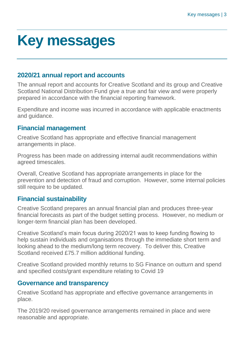# <span id="page-2-0"></span>**Key messages**

## **2020/21 annual report and accounts**

The annual report and accounts for Creative Scotland and its group and Creative Scotland National Distribution Fund give a true and fair view and were properly prepared in accordance with the financial reporting framework.

Expenditure and income was incurred in accordance with applicable enactments and guidance.

## **Financial management**

Creative Scotland has appropriate and effective financial management arrangements in place.

Progress has been made on addressing internal audit recommendations within agreed timescales.

Overall, Creative Scotland has appropriate arrangements in place for the prevention and detection of fraud and corruption. However, some internal policies still require to be updated.

## **Financial sustainability**

Creative Scotland prepares an annual financial plan and produces three-year financial forecasts as part of the budget setting process. However, no medium or longer-term financial plan has been developed.

Creative Scotland's main focus during 2020/21 was to keep funding flowing to help sustain individuals and organisations through the immediate short term and looking ahead to the medium/long term recovery. To deliver this, Creative Scotland received £75.7 million additional funding.

Creative Scotland provided monthly returns to SG Finance on outturn and spend and specified costs/grant expenditure relating to Covid 19

## **Governance and transparency**

Creative Scotland has appropriate and effective governance arrangements in place.

The 2019/20 revised governance arrangements remained in place and were reasonable and appropriate.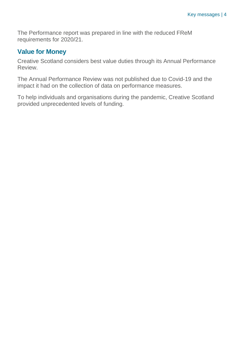The Performance report was prepared in line with the reduced FReM requirements for 2020/21.

## **Value for Money**

Creative Scotland considers best value duties through its Annual Performance Review.

The Annual Performance Review was not published due to Covid-19 and the impact it had on the collection of data on performance measures.

To help individuals and organisations during the pandemic, Creative Scotland provided unprecedented levels of funding.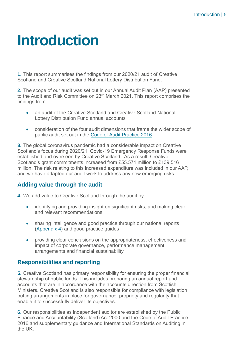# <span id="page-4-0"></span>**Introduction**

**1.** This report summarises the findings from our 2020/21 audit of Creative Scotland and Creative Scotland National Lottery Distribution Fund.

**2.** The scope of our audit was set out in our Annual Audit Plan (AAP) presented to the Audit and Risk Committee on 23<sup>rd</sup> March 2021. This report comprises the findings from:

- an audit of the Creative Scotland and Creative Scotland National Lottery Distribution Fund annual accounts
- consideration of the four audit dimensions that frame the wider scope of public audit set out in the [Code of Audit Practice 2016.](http://www.audit-scotland.gov.uk/report/code-of-audit-practice-2016)

**3.** The global coronavirus pandemic had a considerable impact on Creative Scotland's focus during 2020/21. Covid-19 Emergency Response Funds were established and overseen by Creative Scotland. As a result, Creative Scotland's grant commitments increased from £55.571 million to £139.516 million. The risk relating to this increased expenditure was included in our AAP, and we have adapted our audit work to address any new emerging risks.

## **Adding value through the audit**

**4.** We add value to Creative Scotland through the audit by:

- identifying and providing insight on significant risks, and making clear and relevant recommendations
- sharing intelligence and good practice through our national reports [\(Appendix 4\)](#page-32-0) and good practice guides
- providing clear conclusions on the appropriateness, effectiveness and impact of corporate governance, performance management arrangements and financial sustainability

## **Responsibilities and reporting**

**5.** Creative Scotland has primary responsibility for ensuring the proper financial stewardship of public funds. This includes preparing an annual report and accounts that are in accordance with the accounts direction from Scottish Ministers. Creative Scotland is also responsible for compliance with legislation, putting arrangements in place for governance, propriety and regularity that enable it to successfully deliver its objectives.

**6.** Our responsibilities as independent auditor are established by the Public Finance and Accountability (Scotland) Act 2000 and the Code of Audit Practice 2016 and supplementary guidance and International Standards on Auditing in the UK.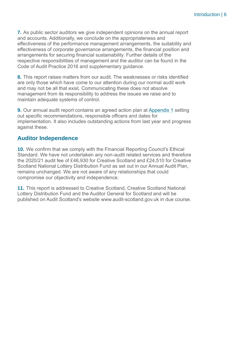**7.** As public sector auditors we give independent opinions on the annual report and accounts. Additionally, we conclude on the appropriateness and effectiveness of the performance management arrangements, the suitability and effectiveness of corporate governance arrangements, the financial position and arrangements for securing financial sustainability. Further details of the respective responsibilities of management and the auditor can be found in the Code of Audit Practice 2016 and supplementary guidance.

**8.** This report raises matters from our audit. The weaknesses or risks identified are only those which have come to our attention during our normal audit work and may not be all that exist. Communicating these does not absolve management from its responsibility to address the issues we raise and to maintain adequate systems of control.

**9.** Our annual audit report contains an agreed action plan at [Appendix 1](#page-6-1) setting out specific recommendations, responsible officers and dates for implementation. It also includes outstanding actions from last year and progress against these.

## **Auditor Independence**

**10.** We confirm that we comply with the Financial Reporting Council's Ethical Standard. We have not undertaken any non-audit related services and therefore the 2020/21 audit fee of £46,930 for Creative Scotland and £24,510 for Creative Scotland National Lottery Distribution Fund as set out in our Annual Audit Plan, remains unchanged. We are not aware of any relationships that could compromise our objectivity and independence.

**11.** This report is addressed to Creative Scotland, Creative Scotland National Lottery Distribution Fund and the Auditor General for Scotland and will be published on Audit Scotland's website [www.audit-scotland.gov.uk](http://www.audit-scotland.gov.uk/) in due course.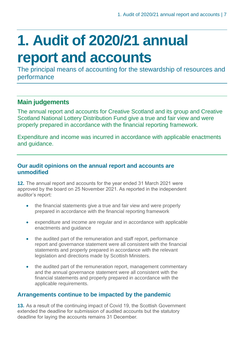# <span id="page-6-0"></span>**1. Audit of 2020/21 annual report and accounts**

The principal means of accounting for the stewardship of resources and performance

## **Main judgements**

The annual report and accounts for Creative Scotland and its group and Creative Scotland National Lottery Distribution Fund give a true and fair view and were properly prepared in accordance with the financial reporting framework.

Expenditure and income was incurred in accordance with applicable enactments and guidance.

## **Our audit opinions on the annual report and accounts are unmodified**

**12.** The annual report and accounts for the year ended 31 March 2021 were approved by the board on 25 November 2021. As reported in the independent auditor's report:

- the financial statements give a true and fair view and were properly prepared in accordance with the financial reporting framework
- expenditure and income are regular and in accordance with applicable enactments and guidance
- the audited part of the remuneration and staff report, performance report and governance statement were all consistent with the financial statements and properly prepared in accordance with the relevant legislation and directions made by Scottish Ministers.
- the audited part of the remuneration report, management commentary and the annual governance statement were all consistent with the financial statements and properly prepared in accordance with the applicable requirements.

## **Arrangements continue to be impacted by the pandemic**

<span id="page-6-1"></span>**13.** As a result of the continuing impact of Covid 19, the Scottish Government extended the deadline for submission of audited accounts but the statutory deadline for laying the accounts remains 31 December.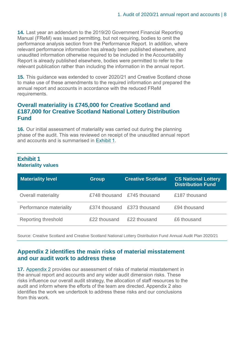**14.** Last year an addendum to the 2019/20 Government Financial Reporting Manual (FReM) was issued permitting, but not requiring, bodies to omit the performance analysis section from the Performance Report. In addition, where relevant performance information has already been published elsewhere, and unaudited information otherwise required to be included in the Accountability Report is already published elsewhere, bodies were permitted to refer to the relevant publication rather than including the information in the annual report.

**15.** This guidance was extended to cover 2020/21 and Creative Scotland chose to make use of these amendments to the required information and prepared the annual report and accounts in accordance with the reduced FReM requirements.

## **Overall materiality is £745,000 for Creative Scotland and £187,000 for Creative Scotland National Lottery Distribution Fund**

**16.** Our initial assessment of materiality was carried out during the planning phase of the audit. This was reviewed on receipt of the unaudited annual report and accounts and is summarised in [Exhibit](#page-7-0) 1.

## <span id="page-7-0"></span>**Exhibit 1 Materiality values**

| <b>Materiality level</b>   | <b>Group</b> | <b>Creative Scotland</b>    | <b>CS National Lottery</b><br><b>Distribution Fund</b> |
|----------------------------|--------------|-----------------------------|--------------------------------------------------------|
| <b>Overall materiality</b> |              | £748 thousand £745 thousand | £187 thousand                                          |
| Performance materiality    |              | £374 thousand £373 thousand | £94 thousand                                           |
| Reporting threshold        | £22 thousand | £22 thousand                | £6 thousand                                            |

Source: Creative Scotland and Creative Scotland National Lottery Distribution Fund Annual Audit Plan 2020/21

## **[Appendix 2](#page-27-0) identifies the main risks of material misstatement and our audit work to address these**

**17.** [Appendix 2](#page-27-0) provides our assessment of risks of material misstatement in the annual report and accounts and any wider audit dimension risks. These risks influence our overall audit strategy, the allocation of staff resources to the audit and inform where the efforts of the team are directed. Appendix 2 also identifies the work we undertook to address these risks and our conclusions from this work.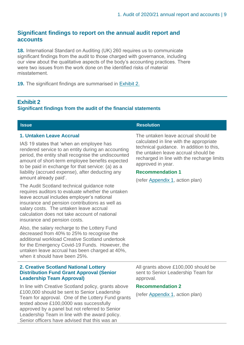## **Significant findings to report on the annual audit report and accounts**

**18.** International Standard on Auditing (UK) 260 requires us to communicate significant findings from the audit to those charged with governance, including our view about the qualitative aspects of the body's accounting practices. There were two issues from the work done on the identified risks of material misstatement.

**19.** The significant findings are summarised in [Exhibit](#page-8-0) 2.

## <span id="page-8-0"></span>**Exhibit 2**

## **Significant findings from the audit of the financial statements**

## **1. Untaken Leave Accrual**

IAS 19 states that 'when an employee has rendered service to an entity during an accounting period, the entity shall recognise the undiscounted amount of short-term employee benefits expected to be paid in exchange for that service: (a) as a liability (accrued expense), after deducting any amount already paid'.

The Audit Scotland technical guidance note requires auditors to evaluate whether the untaken leave accrual includes employer's national insurance and pension contributions as well as salary costs. The untaken leave accrual calculation does not take account of national insurance and pension costs.

Also, the salary recharge to the Lottery Fund decreased from 40% to 25% to recognise the additional workload Creative Scotland undertook for the Emergency Covid-19 Funds. However, the untaken leave accrual has been charged at 40%, when it should have been 25%.

## **2. Creative Scotland National Lottery Distribution Fund Grant Approval (Senior Leadership Team Approval)**

In line with Creative Scotland policy, grants above £100,000 should be sent to Senior Leadership Team for approval. One of the Lottery Fund grants tested above £100,0000 was successfully approved by a panel but not referred to Senior Leadership Team in line with the award policy. Senior officers have advised that this was an

## **Issue Resolution**

The untaken leave accrual should be calculated in line with the appropriate technical guidance. In addition to this, the untaken leave accrual should be recharged in line with the recharge limits approved in year.

## **Recommendation 1**

(refer [Appendix 1,](#page-6-1) action plan)

All grants above £100,000 should be sent to Senior Leadership Team for approval.

## **Recommendation 2**

(refer [Appendix 1,](#page-6-1) action plan)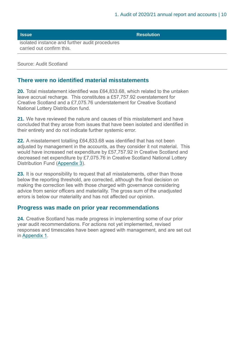**Issue Resolution Resolution** 

isolated instance and further audit procedures carried out confirm this.

Source: Audit Scotland

## **There were no identified material misstatements**

**20.** Total misstatement identified was £64,833.68, which related to the untaken leave accrual recharge. This constitutes a £57,757.92 overstatement for Creative Scotland and a £7,075.76 understatement for Creative Scotland National Lottery Distribution fund.

**21.** We have reviewed the nature and causes of this misstatement and have concluded that they arose from issues that have been isolated and identified in their entirety and do not indicate further systemic error.

**22.** A misstatement totalling £64,833.68 was identified that has not been adjusted by management in the accounts, as they consider it not material. This would have increased net expenditure by £57,757.92 in Creative Scotland and decreased net expenditure by £7,075.76 in Creative Scotland National Lottery Distribution Fund [\(Appendix 3\).](#page-30-0)

**23.** It is our responsibility to request that all misstatements, other than those below the reporting threshold, are corrected, although the final decision on making the correction lies with those charged with governance considering advice from senior officers and materiality. The gross sum of the unadjusted errors is below our materiality and has not affected our opinion.

## **Progress was made on prior year recommendations**

**24.** Creative Scotland has made progress in implementing some of our prior year audit recommendations. For actions not yet implemented, revised responses and timescales have been agreed with management, and are set out in [Appendix 1.](#page-6-1)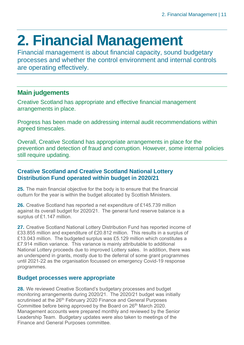# <span id="page-10-0"></span>**2. Financial Management**

Financial management is about financial capacity, sound budgetary processes and whether the control environment and internal controls are operating effectively.

## **Main judgements**

Creative Scotland has appropriate and effective financial management arrangements in place.

Progress has been made on addressing internal audit recommendations within agreed timescales.

Overall, Creative Scotland has appropriate arrangements in place for the prevention and detection of fraud and corruption. However, some internal policies still require updating.

## **Creative Scotland and Creative Scotland National Lottery Distribution Fund operated within budget in 2020/21**

**25.** The main financial objective for the body is to ensure that the financial outturn for the year is within the budget allocated by Scottish Ministers.

**26.** Creative Scotland has reported a net expenditure of £145.739 million against its overall budget for 2020/21. The general fund reserve balance is a surplus of £1.147 million.

**27.** Creative Scotland National Lottery Distribution Fund has reported income of £33.855 million and expenditure of £20.812 million. This results in a surplus of £13.043 million. The budgeted surplus was £5.129 million which constitutes a £7.914 million variance. This variance is mainly attributable to additional National Lottery proceeds due to improved Lottery sales. In addition, there was an underspend in grants, mostly due to the deferral of some grant programmes until 2021-22 as the organisation focussed on emergency Covid-19 response programmes.

## **Budget processes were appropriate**

**28.** We reviewed Creative Scotland's budgetary processes and budget monitoring arrangements during 2020/21. The 2020/21 budget was initially scrutinised at the 26<sup>th</sup> February 2020 Finance and General Purposes Committee before being approved by the Board on 26<sup>th</sup> March 2020. Management accounts were prepared monthly and reviewed by the Senior Leadership Team. Budgetary updates were also taken to meetings of the Finance and General Purposes committee.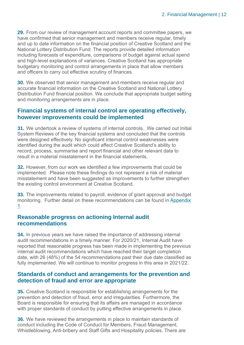**29.** From our review of management account reports and committee papers, we have confirmed that senior management and members receive regular, timely and up to date information on the financial position of Creative Scotland and the National Lottery Distribution Fund. The reports provide detailed information including forecasts of expenditure, comparisons of budget against actual spend and high-level explanations of variances. Creative Scotland has appropriate budgetary monitoring and control arrangements in place that allow members and officers to carry out effective scrutiny of finances.

**30.** We observed that senior management and members receive regular and accurate financial information on the Creative Scotland and National Lottery Distribution Fund financial position. We conclude that appropriate budget setting and monitoring arrangements are in place.

## **Financial systems of internal control are operating effectively, however improvements could be implemented**

<span id="page-11-0"></span>**31.** We undertook a review of systems of internal controls. We carried out Initial System Reviews of the key financial systems and concluded that the controls were designed effectively. No significant internal control weaknesses were identified during the audit which could affect Creative Scotland's ability to record, process, summarise and report financial and other relevant data to result in a material misstatement in the financial statements.

**32.** However, from our work we identified a few improvements that could be implemented. Please note these findings do not represent a risk of material misstatement and have been suggested as improvements to further strengthen the existing control environment at Creative Scotland.

**33.** The improvements related to payroll, evidence of grant approval and budget monitoring. Further detail on these recommendations can be found in [Appendix](#page-6-1)  [1.](#page-6-1)

## **Reasonable progress on actioning Internal audit recommendations**

**34.** In previous years we have raised the importance of addressing internal audit recommendations in a timely manner. For 2020/21, Internal Audit have reported that reasonable progress has been made in implementing the previous internal audit recommendations which have reached their target completion date, with 26 (48%) of the 54 recommendations past their due date classified as fully implemented. We will continue to monitor progress in this area in 2021/22.

## **Standards of conduct and arrangements for the prevention and detection of fraud and error are appropriate**

**35.** Creative Scotland is responsible for establishing arrangements for the prevention and detection of fraud, error and irregularities. Furthermore, the Board is responsible for ensuring that its affairs are managed in accordance with proper standards of conduct by putting effective arrangements in place.

**36.** We have reviewed the arrangements in place to maintain standards of conduct including the Code of Conduct for Members, Fraud Management, Whistleblowing, Anti-bribery and Staff Gifts and Hospitality policies. There are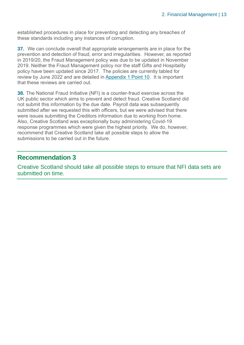established procedures in place for preventing and detecting any breaches of these standards including any instances of corruption.

**37.** We can conclude overall that appropriate arrangements are in place for the prevention and detection of fraud, error and irregularities. However, as reported in 2019/20, the Fraud Management policy was due to be updated in November 2019. Neither the Fraud Management policy nor the staff Gifts and Hospitality policy have been updated since 2017. The policies are currently tabled for review by June 2022 and are detailed in [Appendix 1](#page-6-1) Point 10. It is important that these reviews are carried out.

<span id="page-12-0"></span>**38.** The National Fraud Initiative (NFI) is a counter-fraud exercise across the UK public sector which aims to prevent and detect fraud. Creative Scotland did not submit this information by the due date. Payroll data was subsequently submitted after we requested this with officers, but we were advised that there were issues submitting the Creditors information due to working from home. Also, Creative Scotland was exceptionally busy administering Covid-19 response programmes which were given the highest priority. We do, however, recommend that Creative Scotland take all possible steps to allow the submissions to be carried out in the future.

## **Recommendation 3**

Creative Scotland should take all possible steps to ensure that NFI data sets are submitted on time.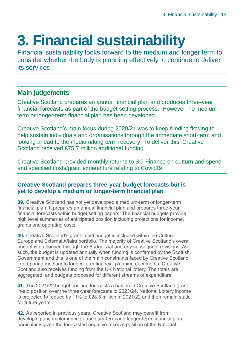# <span id="page-13-0"></span>**3. Financial sustainability**

Financial sustainability looks forward to the medium and longer term to consider whether the body is planning effectively to continue to deliver its services

## **Main judgements**

Creative Scotland prepares an annual financial plan and produces three-year financial forecasts as part of the budget setting process. However, no mediumterm or longer-term financial plan has been developed.

Creative Scotland's main focus during 2020/21 was to keep funding flowing to help sustain individuals and organisations through the immediate short-term and looking ahead to the medium/long term recovery. To deliver this, Creative Scotland received £75.7 million additional funding.

Creative Scotland provided monthly returns to SG Finance on outturn and spend and specified costs/grant expenditure relating to Covid19.

## **Creative Scotland prepares three-year budget forecasts but is yet to develop a medium or longer-term financial plan**

**39.** Creative Scotland has not yet developed a medium-term or longer-term financial plan. It prepares an annual financial plan and prepares three-year financial forecasts within budget setting papers. The financial budgets provide high level summaries of anticipated position including projections for income, grants and operating costs.

**40.** Creative Scotland's grant in aid budget is included within the Culture, Europe and External Affairs portfolio. The majority of Creative Scotland's overall budget is authorised through the Budget Act and any subsequent revisions. As such, the budget is updated annually when funding is confirmed by the Scottish Government and this is one of the main constraints faced by Creative Scotland in preparing medium to longer-term financial planning documents. Creative Scotland also receives funding from the UK National lottery. The totals are aggregated, and budgets proposed for different streams of expenditure.

**41.** The 2021/22 budget position forecasts a balanced Creative Scotland grantin-aid position over the three-year forecasts to 2023/24. National Lottery income is projected to reduce by 11% to £28.5 million in 2021/22 and then remain static for future years.

<span id="page-13-1"></span>**42.** As reported in previous years, Creative Scotland may benefit from developing and implementing a medium-term and longer-term financial plan, particularly given the forecasted negative reserve position of the National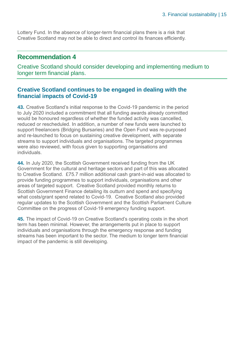Lottery Fund. In the absence of longer-term financial plans there is a risk that Creative Scotland may not be able to direct and control its finances efficiently.

## **Recommendation 4**

Creative Scotland should consider developing and implementing medium to longer term financial plans.

## **Creative Scotland continues to be engaged in dealing with the financial impacts of Covid-19**

**43.** Creative Scotland's initial response to the Covid-19 pandemic in the period to July 2020 included a commitment that all funding awards already committed would be honoured regardless of whether the funded activity was cancelled, reduced or rescheduled. In addition, a number of new funds were launched to support freelancers (Bridging Bursaries) and the Open Fund was re-purposed and re-launched to focus on sustaining creative development, with separate streams to support individuals and organisations. The targeted programmes were also reviewed, with focus given to supporting organisations and individuals.

**44.** In July 2020, the Scottish Government received funding from the UK Government for the cultural and heritage sectors and part of this was allocated to Creative Scotland. £75.7 million additional cash grant-in-aid was allocated to provide funding programmes to support individuals, organisations and other areas of targeted support. Creative Scotland provided monthly returns to Scottish Government Finance detailing its outturn and spend and specifying what costs/grant spend related to Covid-19. Creative Scotland also provided regular updates to the Scottish Government and the Scottish Parliament Culture Committee on the progress of Covid-19 emergency funding support.

**45.** The impact of Covid-19 on Creative Scotland's operating costs in the short term has been minimal. However, the arrangements put in place to support individuals and organisations through the emergency response and funding streams has been important to the sector. The medium to longer term financial impact of the pandemic is still developing.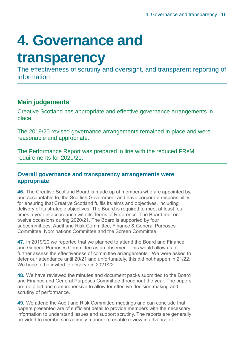# <span id="page-15-0"></span>**4. Governance and**

## **transparency**

The effectiveness of scrutiny and oversight, and transparent reporting of information

## **Main judgements**

Creative Scotland has appropriate and effective governance arrangements in place.

The 2019/20 revised governance arrangements remained in place and were reasonable and appropriate.

The Performance Report was prepared in line with the reduced FReM requirements for 2020/21.

## **Overall governance and transparency arrangements were appropriate**

**46.** The Creative Scotland Board is made up of members who are appointed by, and accountable to, the Scottish Government and have corporate responsibility for ensuring that Creative Scotland fulfils its aims and objectives, including delivery of its strategic objectives. The Board is required to meet at least four times a year in accordance with its Terms of Reference. The Board met on twelve occasions during 2020/21. The Board is supported by four subcommittees: Audit and Risk Committee; Finance & General Purposes Committee; Nominations Committee and the Screen Committee.

**47.** In 2019/20 we reported that we planned to attend the Board and Finance and General Purposes Committee as an observer. This would allow us to further assess the effectiveness of committee arrangements. We were asked to defer our attendance until 20/21 and unfortunately, this did not happen in 21/22. We hope to be invited to observe in 2021/22.

**48.** We have reviewed the minutes and document packs submitted to the Board and Finance and General Purposes Committee throughout the year. The papers are detailed and comprehensive to allow for effective decision making and scrutiny of performance.

**49.** We attend the Audit and Risk Committee meetings and can conclude that papers presented are of sufficient detail to provide members with the necessary information to understand issues and support scrutiny. The reports are generally provided to members in a timely manner to enable review in advance of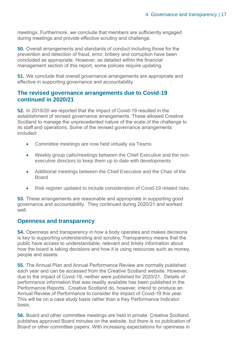meetings. Furthermore, we conclude that members are sufficiently engaged during meetings and provide effective scrutiny and challenge.

**50.** Overall arrangements and standards of conduct including those for the prevention and detection of fraud, error, bribery and corruption have been concluded as appropriate. However, as detailed within the financial management section of this report, some policies require updating.

**51.** We conclude that overall governance arrangements are appropriate and effective in supporting governance and accountability.

## **The revised governance arrangements due to Covid-19 continued in 2020/21**

**52.** In 2019/20 we reported that the impact of Covid-19 resulted in the establishment of revised governance arrangements. These allowed Creative Scotland to manage the unprecedented nature of the scale of the challenge to its staff and operations. Some of the revised governance arrangements included:

- Committee meetings are now held virtually via Teams
- Weekly group calls/meetings between the Chief Executive and the nonexecutive directors to keep them up to date with developments
- Additional meetings between the Chief Executive and the Chair of the Board
- Risk register updated to include consideration of Covid-19 related risks.

**53.** These arrangements are reasonable and appropriate in supporting good governance and accountability. They continued during 2020/21 and worked well.

## **Openness and transparency**

**54.** Openness and transparency in how a body operates and makes decisions is key to supporting understanding and scrutiny. Transparency means that the public have access to understandable, relevant and timely information about how the board is taking decisions and how it is using resources such as money, people and assets.

**55.** The Annual Plan and Annual Performance Review are normally published each year and can be accessed from the Creative Scotland website. However, due to the impact of Covid-19, neither were published for 2020/21. Details of performance information that was readily available has been published in the Performance Reports. Creative Scotland do, however, intend to produce an Annual Review of Performance to consider the impact of Covid-19 this year. This will be on a case study basis rather than a Key Performance Indicator basis.

**56.** Board and other committee meetings are held in private. Creative Scotland publishes approved Board minutes on the website, but there is no publication of Board or other committee papers. With increasing expectations for openness in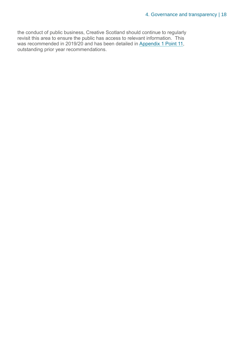the conduct of public business, Creative Scotland should continue to regularly revisit this area to ensure the public has access to relevant information. This was recommended in 2019/20 and has been detailed in [Appendix 1](#page-6-1) Point 11, outstanding prior year recommendations.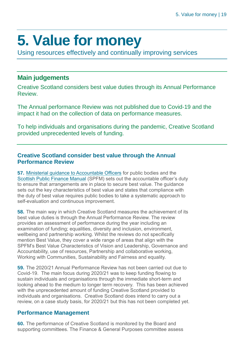# <span id="page-18-0"></span>**5. Value for money**

Using resources effectively and continually improving services

## **Main judgements**

Creative Scotland considers best value duties through its Annual Performance Review.

The Annual performance Review was not published due to Covid-19 and the impact it had on the collection of data on performance measures.

To help individuals and organisations during the pandemic, Creative Scotland provided unprecedented levels of funding.

## **Creative Scotland consider best value through the Annual Performance Review**

**57.** [Ministerial guidance to Accountable Officers](https://www.gov.scot/publications/best-value-public-services-guidance-accountable-officers/) for public bodies and the [Scottish Public Finance Manual](https://www.gov.scot/publications/scottish-public-finance-manual/best-value/best-value/) (SPFM) sets out the accountable officer's duty to ensure that arrangements are in place to secure best value. The guidance sets out the key characteristics of best value and states that compliance with the duty of best value requires public bodies to take a systematic approach to self-evaluation and continuous improvement.

**58.** The main way in which Creative Scotland measures the achievement of its best value duties is through the Annual Performance Review. The review provides an assessment of performance during the year including an examination of funding; equalities, diversity and inclusion, environment, wellbeing and partnership working. Whilst the reviews do not specifically mention Best Value, they cover a wide range of areas that align with the SPFM's Best Value Characteristics of Vision and Leadership, Governance and Accountability, use of resources, Partnership and collaborative working, Working with Communities, Sustainability and Fairness and equality.

**59.** The 2020/21 Annual Performance Review has not been carried out due to Covid-19. The main focus during 2020/21 was to keep funding flowing to sustain individuals and organisations through the immediate short-term and looking ahead to the medium to longer term recovery. This has been achieved with the unprecedented amount of funding Creative Scotland provided to individuals and organisations. Creative Scotland does intend to carry out a review, on a case study basis, for 2020/21 but this has not been completed yet.

## **Performance Management**

**60.** The performance of Creative Scotland is monitored by the Board and supporting committees. The Finance & General Purposes committee assess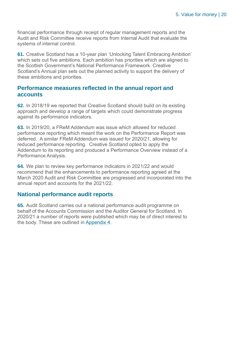financial performance through receipt of regular management reports and the Audit and Risk Committee receive reports from Internal Audit that evaluate the systems of internal control.

**61.** Creative Scotland has a 10-year plan 'Unlocking Talent Embracing Ambition' which sets out five ambitions. Each ambition has priorities which are aligned to the Scottish Government's National Performance Framework. Creative Scotland's Annual plan sets out the planned activity to support the delivery of these ambitions and priorities.

## **Performance measures reflected in the annual report and accounts**

**62.** In 2018/19 we reported that Creative Scotland should build on its existing approach and develop a range of targets which could demonstrate progress against its performance indicators.

**63.** In 2019/20, a FReM Addendum was issue which allowed for reduced performance reporting which meant the work on the Performance Report was deferred. A similar FReM Addendum was issued for 2020/21, allowing for reduced performance reporting. Creative Scotland opted to apply the Addendum to its reporting and produced a Performance Overview instead of a Performance Analysis.

**64.** We plan to review key performance indicators in 2021/22 and would recommend that the enhancements to performance reporting agreed at the March 2020 Audit and Risk Committee are progressed and incorporated into the annual report and accounts for the 2021/22.

## **National performance audit reports**

**65.** Audit Scotland carries out a national performance audit programme on behalf of the Accounts Commission and the Auditor General for Scotland. In 2020/21 a number of reports were published which may be of direct interest to the body. These are outlined in [Appendix 4.](#page-32-0)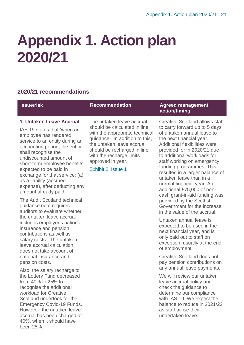# <span id="page-20-0"></span>**Appendix 1. Action plan 2020/21**

## **2020/21 recommendations**

## **1. Untaken Leave Accrual**

IAS 19 states that 'when an employee has rendered service to an entity during an accounting period, the entity shall recognise the undiscounted amount of short-term employee benefits expected to be paid in exchange for that service: (a) as a liability (accrued expense), after deducting any amount already paid'.

The Audit Scotland technical guidance note requires auditors to evaluate whether the untaken leave accrual includes employer's national insurance and pension contributions as well as salary costs. The untaken leave accrual calculation does not take account of national insurance and pension costs.

Also, the salary recharge to the Lottery Fund decreased from 40% to 25% to recognise the additional workload for Creative Scotland undertook for the Emergency Covid-19 Funds. However, the untaken leave accrual has been charged at 40%, when it should have been 25%.

The untaken leave accrual should be calculated in line with the appropriate technical guidance. In addition to this, the untaken leave accrual should be recharged in line with the recharge limits approved in year.

[Exhibit 2, Issue 1](#page-8-0)

## **Issue/risk Recommendation Agreed management action/timing**

Creative Scotland allows staff to carry forward up to 5 days of untaken annual leave to the next financial year. Additional flexibilities were provided for in 2020/21 due to additional workloads for staff working on emergency funding programmes. This resulted in a larger balance of untaken leave than in a normal financial year. An additional £75,000 of noncash grant-in-aid funding was provided by the Scottish Government for the increase in the value of the accrual.

Untaken annual leave is expected to be used in the next financial year, and is only paid out to staff on exception, usually at the end of employment.

Creative Scotland does not pay pension contributions on any annual leave payments.

We will review our untaken leave accrual policy and check the guidance to determine our compliance with IAS 19. We expect the balance to reduce in 2021/22 as staff utilise their undertaken leave.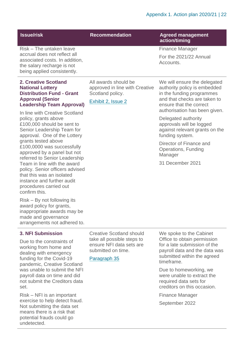| <b>Issue/risk</b>                                                                                                                                  | <b>Recommendation</b>                                                      | <b>Agreed management</b><br>action/timing                                                            |
|----------------------------------------------------------------------------------------------------------------------------------------------------|----------------------------------------------------------------------------|------------------------------------------------------------------------------------------------------|
| Risk – The untaken leave                                                                                                                           |                                                                            | <b>Finance Manager</b>                                                                               |
| accrual does not reflect all<br>associated costs. In addition,<br>the salary recharge is not<br>being applied consistently.                        |                                                                            | For the 2021/22 Annual<br>Accounts.                                                                  |
| 2. Creative Scotland<br><b>National Lottery</b><br><b>Distribution Fund - Grant</b>                                                                | All awards should be<br>approved in line with Creative<br>Scotland policy. | We will ensure the delegated<br>authority policy is embedded<br>in the funding programmes            |
| <b>Approval (Senior</b><br><b>Leadership Team Approval)</b>                                                                                        | Exhibit 2, Issue 2                                                         | and that checks are taken to<br>ensure that the correct<br>authorisation has been given.             |
| In line with Creative Scotland<br>policy, grants above<br>£100,000 should be sent to<br>Senior Leadership Team for<br>approval. One of the Lottery |                                                                            | Delegated authority<br>approvals will be logged<br>against relevant grants on the<br>funding system. |
| grants tested above<br>0400.0000                                                                                                                   |                                                                            | Director of Finance and                                                                              |

Operations, Funding Manager

31 December 2021

£100,0000 was successfully approved by a panel but not referred to Senior Leadership Team in line with the award policy. Senior officers advised that this was an isolated instance and further audit procedures carried out confirm this.

Risk – By not following its award policy for grants, inappropriate awards may be made and governance arrangements not adhered to.

## **3. NFI Submission**

Due to the constraints of working from home and dealing with emergency funding for the Covid-19 pandemic, Creative Scotland was unable to submit the NFI payroll data on time and did not submit the Creditors data set.

Risk – NFI is an important exercise to help detect fraud. Not submitting the data set means there is a risk that potential frauds could go undetected.

Creative Scotland should take all possible steps to ensure NFI data sets are submitted on time.

[Paragraph 35](#page-12-0)

We spoke to the Cabinet Office to obtain permission for a late submission of the payroll data and the data was submitted within the agreed timeframe.

Due to homeworking, we were unable to extract the required data sets for creditors on this occasion.

Finance Manager September 2022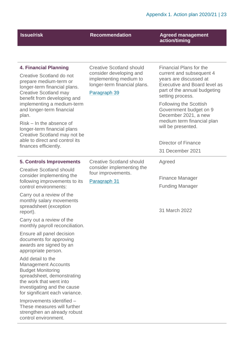## **Issue/risk**  Recommendation **Agreed management action/timing**

| <b>4. Financial Planning</b><br>Creative Scotland do not<br>prepare medium-term or<br>longer-term financial plans.<br><b>Creative Scotland may</b><br>benefit from developing and<br>implementing a medium-term<br>and longer-term financial<br>plan.<br>$Risk - In$ the absence of<br>longer-term financial plans<br>Creative Scotland may not be<br>able to direct and control its<br>finances efficiently.                                                                                                                                                                                                                                                                                                                                                   | <b>Creative Scotland should</b><br>consider developing and<br>implementing medium to<br>longer-term financial plans.<br>Paragraph 39 | <b>Financial Plans for the</b><br>current and subsequent 4<br>years are discussed at<br><b>Executive and Board level as</b><br>part of the annual budgeting<br>setting process.<br><b>Following the Scottish</b><br>Government budget on 9<br>December 2021, a new<br>medium term financial plan<br>will be presented.<br><b>Director of Finance</b><br>31 December 2021 |
|-----------------------------------------------------------------------------------------------------------------------------------------------------------------------------------------------------------------------------------------------------------------------------------------------------------------------------------------------------------------------------------------------------------------------------------------------------------------------------------------------------------------------------------------------------------------------------------------------------------------------------------------------------------------------------------------------------------------------------------------------------------------|--------------------------------------------------------------------------------------------------------------------------------------|--------------------------------------------------------------------------------------------------------------------------------------------------------------------------------------------------------------------------------------------------------------------------------------------------------------------------------------------------------------------------|
| <b>5. Controls Improvements</b><br><b>Creative Scotland should</b><br>consider implementing the<br>following improvements to its<br>control environments:<br>Carry out a review of the<br>monthly salary movements<br>spreadsheet (exception<br>report).<br>Carry out a review of the<br>monthly payroll reconciliation.<br>Ensure all panel decision<br>documents for approving<br>awards are signed by an<br>appropriate person.<br>Add detail to the<br><b>Management Accounts</b><br><b>Budget Monitoring</b><br>spreadsheet, demonstrating<br>the work that went into<br>investigating and the cause<br>for significant each variance.<br>Improvements identified -<br>These measures will further<br>strengthen an already robust<br>control environment. | <b>Creative Scotland should</b><br>consider implementing the<br>four improvements.<br>Paragraph 31                                   | Agreed<br><b>Finance Manager</b><br><b>Funding Manager</b><br>31 March 2022                                                                                                                                                                                                                                                                                              |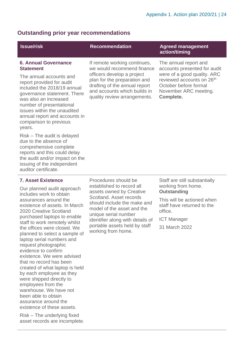## **Outstanding prior year recommendations**

## **6. Annual Governance Statement**

The annual accounts and report provided for audit included the 2018/19 annual governance statement. There was also an increased number of presentational issues within the unaudited annual report and accounts in comparison to previous years.

Risk – The audit is delayed due to the absence of comprehensive complete reports and this could delay the audit and/or impact on the issuing of the independent auditor certificate.

## **7. Asset Existence**

Our planned audit approach includes work to obtain assurances around the existence of assets. In March 2020 Creative Scotland purchased laptops to enable staff to work remotely whilst the offices were closed. We planned to select a sample of laptop serial numbers and request photographic evidence to confirm existence. We were advised that no record has been created of what laptop is held by each employee as they were shipped directly to employees from the warehouse. We have not been able to obtain assurance around the existence of these assets.

Risk – The underlying fixed asset records are incomplete. If remote working continues, we would recommend finance officers develop a project plan for the preparation and drafting of the annual report and accounts which builds in quality review arrangements.

## **Issue/risk Commendation Recommendation** Agreed management **action/timing**

The annual report and accounts presented for audit were of a good quality. ARC reviewed accounts on 26<sup>th</sup> October before formal November ARC meeting. **Complete.**

Procedures should be established to record all assets owned by Creative Scotland. Asset records should include the make and model of the asset and the unique serial number identifier along with details of portable assets held by staff working from home.

Staff are still substantially working from home. **Outstanding** 

This will be actioned when staff have returned to the office.

ICT Manager

31 March 2022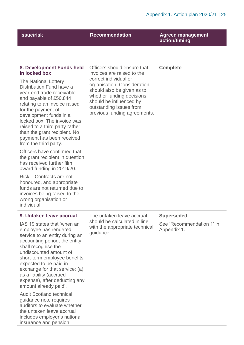| <b>Issue/risk</b>                                                                                                                                                                                                                                                                                                                                         | <b>Recommendation</b>                                                                                                                                                        | <b>Agreed management</b><br>action/timing |
|-----------------------------------------------------------------------------------------------------------------------------------------------------------------------------------------------------------------------------------------------------------------------------------------------------------------------------------------------------------|------------------------------------------------------------------------------------------------------------------------------------------------------------------------------|-------------------------------------------|
|                                                                                                                                                                                                                                                                                                                                                           |                                                                                                                                                                              |                                           |
| 8. Development Funds held<br>in locked box                                                                                                                                                                                                                                                                                                                | Officers should ensure that<br>invoices are raised to the<br>correct individual or                                                                                           | <b>Complete</b>                           |
| <b>The National Lottery</b><br>Distribution Fund have a<br>year-end trade receivable<br>and payable of £50,844<br>relating to an invoice raised<br>for the payment of<br>development funds in a<br>locked box. The invoice was<br>raised to a third party rather<br>than the grant recipient. No<br>payment has been received<br>from the third party.    | organisation. Consideration<br>should also be given as to<br>whether funding decisions<br>should be influenced by<br>outstanding issues from<br>previous funding agreements. |                                           |
| Officers have confirmed that<br>the grant recipient in question<br>has received further film<br>award funding in 2019/20.                                                                                                                                                                                                                                 |                                                                                                                                                                              |                                           |
| Risk - Contracts are not<br>honoured, and appropriate<br>funds are not returned due to<br>invoices being raised to the<br>wrong organisation or<br>individual.                                                                                                                                                                                            |                                                                                                                                                                              |                                           |
| 9. Untaken leave accrual                                                                                                                                                                                                                                                                                                                                  | The untaken leave accrual                                                                                                                                                    | Superseded.                               |
| IAS 19 states that 'when an<br>employee has rendered<br>service to an entity during an<br>accounting period, the entity<br>shall recognise the<br>undiscounted amount of<br>short-term employee benefits<br>expected to be paid in<br>exchange for that service: (a)<br>as a liability (accrued<br>expense), after deducting any<br>amount already paid'. | should be calculated in line<br>with the appropriate technical<br>guidance.                                                                                                  | See 'Recommendation 1' in<br>Appendix 1.  |
| <b>Audit Scotland technical</b><br>guidance note requires<br>auditors to evaluate whether<br>the untaken leave accrual<br>includes employer's national<br>insurance and pension                                                                                                                                                                           |                                                                                                                                                                              |                                           |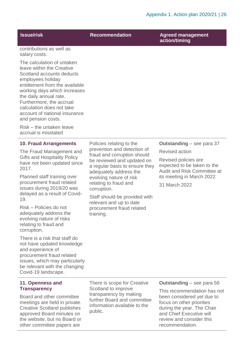|                                                                                                                                                                                                                                                                                                                       |                                                                                                                                                                                                             | Appendix 1. Action pidit 2020/21   20                                                     |
|-----------------------------------------------------------------------------------------------------------------------------------------------------------------------------------------------------------------------------------------------------------------------------------------------------------------------|-------------------------------------------------------------------------------------------------------------------------------------------------------------------------------------------------------------|-------------------------------------------------------------------------------------------|
| <b>Issue/risk</b>                                                                                                                                                                                                                                                                                                     | <b>Recommendation</b>                                                                                                                                                                                       | <b>Agreed management</b><br>action/timing                                                 |
| contributions as well as<br>salary costs.                                                                                                                                                                                                                                                                             |                                                                                                                                                                                                             |                                                                                           |
| The calculation of untaken<br>leave within the Creative<br>Scotland accounts deducts<br>employees holiday<br>entitlement from the available<br>working days which increases<br>the daily annual rate.<br>Furthermore, the accrual<br>calculation does not take<br>account of national insurance<br>and pension costs. |                                                                                                                                                                                                             |                                                                                           |
| Risk – the untaken leave<br>accrual is misstated                                                                                                                                                                                                                                                                      |                                                                                                                                                                                                             |                                                                                           |
| <b>10. Fraud Arrangements</b>                                                                                                                                                                                                                                                                                         | Policies relating to the<br>prevention and detection of<br>fraud and corruption should<br>be reviewed and updated on<br>a regular basis to ensure they<br>adequately address the<br>evolving nature of risk | <b>Outstanding</b> – see para 37                                                          |
| The Fraud Management and                                                                                                                                                                                                                                                                                              |                                                                                                                                                                                                             | <b>Revised action</b>                                                                     |
| <b>Gifts and Hospitality Policy</b><br>have not been updated since<br>2017.<br>Planned staff training over<br>procurement fraud related<br>issues during 2019/20 was<br>delayed as a result of Covid-<br>19.                                                                                                          |                                                                                                                                                                                                             | Revised policies are<br>expected to be taken to the<br><b>Audit and Risk Committee at</b> |
|                                                                                                                                                                                                                                                                                                                       |                                                                                                                                                                                                             | its meeting in March 2022                                                                 |
|                                                                                                                                                                                                                                                                                                                       | relating to fraud and<br>corruption.                                                                                                                                                                        | 31 March 2022                                                                             |
|                                                                                                                                                                                                                                                                                                                       | Staff should be provided with                                                                                                                                                                               |                                                                                           |
| Risk - Policies do not<br>adequately address the<br>evolving nature of risks<br>relating to fraud and<br>corruption.                                                                                                                                                                                                  | relevant and up to date<br>procurement fraud related<br>training.                                                                                                                                           |                                                                                           |
| There is a risk that staff do<br>not have updated knowledge                                                                                                                                                                                                                                                           |                                                                                                                                                                                                             |                                                                                           |

and experience of procurement fraud related issues, which may particularly be relevant with the changing Covid-19 landscape.

## **11. Openness and Transparency**

Board and other committee meetings are held in private. Creative Scotland publishes approved Board minutes on the website, but no Board or other committee papers are

There is scope for Creative Scotland to improve transparency by making further Board and committee information available to the public.

## **Outstanding** – see para 56

This recommendation has not been considered yet due to focus on other priorities during the year. The Chair and Chief Executive will review and consider this recommendation.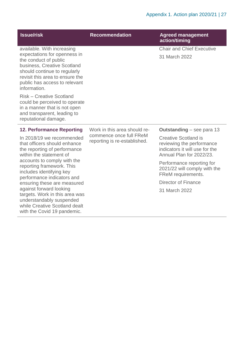| <b>Issue/risk</b>                                                                                                                                                                                                                      | <b>Recommendation</b>                                   | <b>Agreed management</b><br>action/timing                                                                              |
|----------------------------------------------------------------------------------------------------------------------------------------------------------------------------------------------------------------------------------------|---------------------------------------------------------|------------------------------------------------------------------------------------------------------------------------|
| available. With increasing<br>expectations for openness in<br>the conduct of public<br>business, Creative Scotland<br>should continue to regularly<br>revisit this area to ensure the<br>public has access to relevant<br>information. |                                                         | <b>Chair and Chief Executive</b><br>31 March 2022                                                                      |
| <b>Risk - Creative Scotland</b><br>could be perceived to operate<br>in a manner that is not open<br>and transparent, leading to<br>reputational damage.                                                                                |                                                         |                                                                                                                        |
| <b>12. Performance Reporting</b>                                                                                                                                                                                                       | Work in this area should re-                            | <b>Outstanding</b> – see para 13                                                                                       |
| In 2018/19 we recommended<br>that officers should enhance<br>the reporting of performance<br>within the statement of                                                                                                                   | commence once full FReM<br>reporting is re-established. | <b>Creative Scotland is</b><br>reviewing the performance<br>indicators it will use for the<br>Annual Plan for 2022/23. |
| accounts to comply with the<br>reporting framework. This<br>includes identifying key<br>performance indicators and                                                                                                                     |                                                         | Performance reporting for<br>2021/22 will comply with the<br>FReM requirements.                                        |
| ensuring these are measured                                                                                                                                                                                                            |                                                         | <b>Director of Finance</b>                                                                                             |
| against forward looking<br>targets. Work in this area was<br>understandably suspended<br>while Creative Scotland dealt<br>with the Covid 19 pandemic.                                                                                  |                                                         | 31 March 2022                                                                                                          |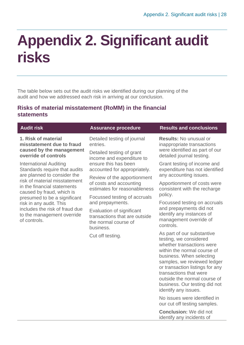# <span id="page-27-0"></span>**Appendix 2. Significant audit risks**

The table below sets out the audit risks we identified during our planning of the audit and how we addressed each risk in arriving at our conclusion.

## **Risks of material misstatement (RoMM) in the financial statements**

## **1. Risk of material misstatement due to fraud caused by the management override of controls**

International Auditing Standards require that audits are planned to consider the risk of material misstatement in the financial statements caused by fraud, which is presumed to be a significant risk in any audit. This includes the risk of fraud due to the management override of controls.

Detailed testing of journal entries.

Detailed testing of grant income and expenditure to ensure this has been accounted for appropriately.

Review of the apportionment of costs and accounting estimates for reasonableness

Focussed testing of accruals and prepayments.

Evaluation of significant transactions that are outside the normal course of business.

Cut off testing.

## **Audit risk Assurance procedure Results and conclusions**

**Results:** No unusual or inappropriate transactions were identified as part of our detailed journal testing.

Grant testing of income and expenditure has not identified any accounting issues.

Apportionment of costs were consistent with the recharge policy.

Focussed testing on accruals and prepayments did not identify any instances of management override of controls.

As part of our substantive testing, we considered whether transactions were within the normal course of business. When selecting samples, we reviewed ledger or transaction listings for any transactions that were outside the normal course of business. Our testing did not identify any issues.

No issues were identified in our cut off testing samples.

**Conclusion:** We did not identify any incidents of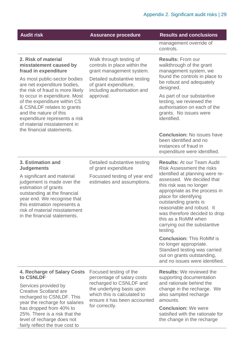| <b>Audit risk</b>                                                                                                                                                                                                                                      | <b>Assurance procedure</b>                                                                                                                   | <b>Results and conclusions</b>                                                                                                                                                                                                                                                                              |
|--------------------------------------------------------------------------------------------------------------------------------------------------------------------------------------------------------------------------------------------------------|----------------------------------------------------------------------------------------------------------------------------------------------|-------------------------------------------------------------------------------------------------------------------------------------------------------------------------------------------------------------------------------------------------------------------------------------------------------------|
|                                                                                                                                                                                                                                                        |                                                                                                                                              | management override of<br>controls.                                                                                                                                                                                                                                                                         |
| 2. Risk of material<br>misstatement caused by<br>fraud in expenditure<br>As most public-sector bodies<br>are net expenditure bodies,                                                                                                                   | Walk through testing of<br>controls in place within the<br>grant management system.<br>Detailed substantive testing<br>of grant expenditure, | <b>Results: From our</b><br>walkthrough of the grant<br>management system, we<br>found the controls in place to<br>be robust and adequately<br>designed.                                                                                                                                                    |
| the risk of fraud is more likely<br>to occur in expenditure. Most<br>of the expenditure within CS<br>& CSNLDF relates to grants<br>and the nature of this<br>expenditure represents a risk<br>of material misstatement in<br>the financial statements. | including authorisation and<br>approval.                                                                                                     | As part of our substantive<br>testing, we reviewed the<br>authorisation on each of the<br>grants. No issues were<br>identified.                                                                                                                                                                             |
|                                                                                                                                                                                                                                                        |                                                                                                                                              | <b>Conclusion: No issues have</b><br>been identified and no<br>instances of fraud in<br>expenditure were identified.                                                                                                                                                                                        |
| 3. Estimation and<br><b>Judgements</b>                                                                                                                                                                                                                 | Detailed substantive testing<br>of grant expenditure                                                                                         | <b>Results: At our Team Audit</b><br><b>Risk Assessment the risks</b>                                                                                                                                                                                                                                       |
| A significant and material<br>judgement is made over the<br>estimation of grants<br>outstanding at the financial<br>year end. We recognise that<br>this estimation represents a<br>risk of material misstatement<br>in the financial statements.       | Focussed testing of year end<br>estimates and assumptions.                                                                                   | identified at planning were re-<br>assessed. We decided that<br>this risk was no longer<br>appropriate as the process in<br>place for identifying<br>outstanding grants is<br>reasonable and robust. It<br>was therefore decided to drop<br>this as a RoMM when<br>carrying out the substantive<br>testing. |
|                                                                                                                                                                                                                                                        |                                                                                                                                              | <b>Conclusion: This RoMM is</b><br>no longer appropriate.<br>Standard testing was carried<br>out on grants outstanding,<br>and no issues were identified.                                                                                                                                                   |
| 4. Recharge of Salary Costs<br>to CSNLDF                                                                                                                                                                                                               | Focused testing of the<br>percentage of salary costs                                                                                         | <b>Results:</b> We reviewed the<br>supporting documentation                                                                                                                                                                                                                                                 |
| Services provided by<br><b>Creative Scotland are</b><br>recharged to CSNLDF. This<br>year the recharge for salaries                                                                                                                                    | recharged to CSNLDF and<br>the underlying basis upon<br>which this is calculated to<br>ensure it has been accounted                          | and rationale behind the<br>change in the recharge. We<br>also sampled recharge<br>amounts.                                                                                                                                                                                                                 |
| has dropped from 40% to<br>25%. There is a risk that the<br>level of recharge does not                                                                                                                                                                 | for correctly.                                                                                                                               | <b>Conclusion: We were</b><br>satisfied with the rationale for<br>the change in the recharge                                                                                                                                                                                                                |

level of recharge does not fairly reflect the true cost to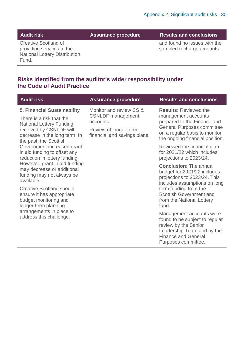**Audit risk Assurance procedure Results and conclusions**

Creative Scotland of providing services to the National Lottery Distribution Fund.

and found no issues with the sampled recharge amounts.

## **Risks identified from the auditor's wider responsibility under the Code of Audit Practice**

| <b>Audit risk</b>                                                                                                                                                                | <b>Assurance procedure</b>                                                                                                | <b>Results and conclusions</b>                                                                                                                                                              |
|----------------------------------------------------------------------------------------------------------------------------------------------------------------------------------|---------------------------------------------------------------------------------------------------------------------------|---------------------------------------------------------------------------------------------------------------------------------------------------------------------------------------------|
| 5. Financial Sustainability<br>There is a risk that the<br><b>National Lottery Funding</b><br>received by CSNLDF will<br>decrease in the long term. In<br>the past, the Scottish | Monitor and review CS &<br><b>CSNLDF</b> management<br>accounts.<br>Review of longer term<br>financial and savings plans. | <b>Results: Reviewed the</b><br>management accounts<br>prepared to the Finance and<br><b>General Purposes committee</b><br>on a regular basis to monitor<br>the ongoing financial position. |
| Government increased grant<br>in aid funding to offset any<br>reduction in lottery funding.                                                                                      |                                                                                                                           | Reviewed the financial plan<br>for 2021/22 which includes<br>projections to 2023/24.                                                                                                        |
| However, grant in aid funding<br>may decrease or additional<br>funding may not always be<br>available.                                                                           |                                                                                                                           | <b>Conclusion: The annual</b><br>budget for 2021/22 includes<br>projections to 2023/24. This<br>includes assumptions on long                                                                |
| <b>Creative Scotland should</b><br>ensure it has appropriate<br>budget monitoring and<br>longer-term planning                                                                    |                                                                                                                           | term funding from the<br><b>Scottish Government and</b><br>from the National Lottery<br>fund.                                                                                               |
| arrangements in place to<br>address this challenge.                                                                                                                              |                                                                                                                           | Management accounts were<br>found to be subject to regular<br>review by the Senior<br>Leadership Team and by the<br><b>Finance and General</b><br>Purposes committee.                       |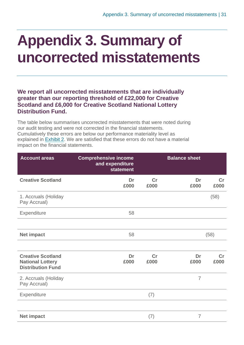# <span id="page-30-0"></span>**Appendix 3. Summary of uncorrected misstatements**

**We report all uncorrected misstatements that are individually greater than our reporting threshold of £22,000 for Creative Scotland and £6,000 for Creative Scotland National Lottery Distribution Fund.**

The table below summarises uncorrected misstatements that were noted during our audit testing and were not corrected in the financial statements. Cumulatively these errors are below our performance materiality level as explained in [Exhibit](#page-8-0) 2. We are satisfied that these errors do not have a material impact on the financial statements.

| <b>Account areas</b>                                                            | <b>Comprehensive income</b><br>and expenditure<br><b>statement</b> |            | <b>Balance sheet</b> |            |
|---------------------------------------------------------------------------------|--------------------------------------------------------------------|------------|----------------------|------------|
| <b>Creative Scotland</b>                                                        | Dr<br>£000                                                         | Cr<br>£000 | Dr<br>£000           | Cr<br>£000 |
| 1. Accruals (Holiday<br>Pay Accrual)                                            |                                                                    |            |                      | (58)       |
| Expenditure                                                                     | 58                                                                 |            |                      |            |
|                                                                                 |                                                                    |            |                      |            |
| <b>Net impact</b>                                                               | 58                                                                 |            |                      | (58)       |
|                                                                                 |                                                                    |            |                      |            |
| <b>Creative Scotland</b><br><b>National Lottery</b><br><b>Distribution Fund</b> | Dr<br>£000                                                         | Cr<br>£000 | Dr<br>£000           | Cr<br>£000 |
| 2. Accruals (Holiday<br>Pay Accrual)                                            |                                                                    |            | $\overline{7}$       |            |
| Expenditure                                                                     |                                                                    | (7)        |                      |            |
|                                                                                 |                                                                    |            |                      |            |
| <b>Net impact</b>                                                               |                                                                    | (7)        | $\overline{7}$       |            |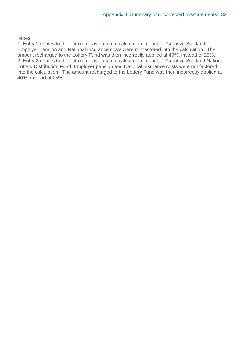Notes:

1. Entry 1 relates to the untaken leave accrual calculation impact for Creative Scotland. Employer pension and National Insurance costs were not factored into the calculation. The amount recharged to the Lottery Fund was then incorrectly applied at 40%, instead of 25%. 2. Entry 2 relates to the untaken leave accrual calculation impact for Creative Scotland National Lottery Distribution Fund. Employer pension and National Insurance costs were not factored into the calculation. The amount recharged to the Lottery Fund was then incorrectly applied at 40%, instead of 25%.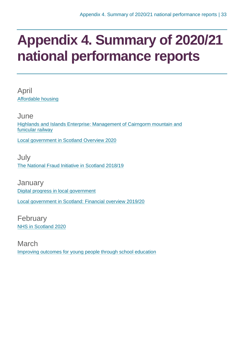# <span id="page-32-0"></span>**Appendix 4. Summary of 2020/21 national performance reports**

April [Affordable housing](https://www.audit-scotland.gov.uk/report/affordable-housing)

June [Highlands and Islands Enterprise: Management of Cairngorm mountain and](https://www.audit-scotland.gov.uk/report/highlands-and-islands-enterprise-management-of-cairngorm-mountain-and-funicular-railway)  [funicular railway](https://www.audit-scotland.gov.uk/report/highlands-and-islands-enterprise-management-of-cairngorm-mountain-and-funicular-railway)

[Local government in Scotland Overview 2020](https://www.audit-scotland.gov.uk/report/local-government-in-scotland-overview-2020)

July [The National Fraud Initiative in Scotland 2018/19](https://www.audit-scotland.gov.uk/report/the-national-fraud-initiative-in-scotland-201819)

**January** [Digital progress in local government](https://www.audit-scotland.gov.uk/report/digital-progress-in-local-government) [Local government in Scotland: Financial overview 2019/20](https://www.audit-scotland.gov.uk/report/local-government-in-scotland-financial-overview-201920)

February [NHS in Scotland 2020](https://www.audit-scotland.gov.uk/report/nhs-in-scotland-2020)

March [Improving outcomes for young people through school education](https://www.audit-scotland.gov.uk/report/improving-outcomes-for-young-people-through-school-education)